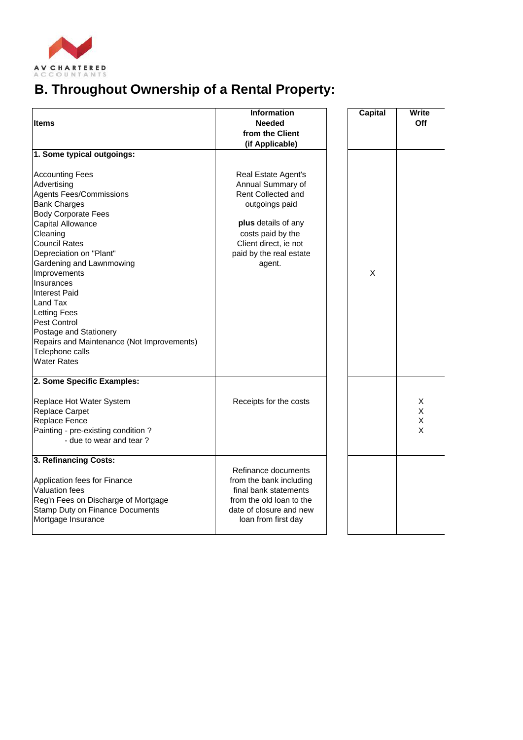

## **B. Throughout Ownership of a Rental Property:**

| <b>Items</b>                               | <b>Information</b><br><b>Needed</b> | <b>Capital</b> | Write<br>Off |
|--------------------------------------------|-------------------------------------|----------------|--------------|
|                                            | from the Client                     |                |              |
|                                            | (if Applicable)                     |                |              |
| 1. Some typical outgoings:                 |                                     |                |              |
| <b>Accounting Fees</b>                     | Real Estate Agent's                 |                |              |
| Advertising                                | Annual Summary of                   |                |              |
| <b>Agents Fees/Commissions</b>             | <b>Rent Collected and</b>           |                |              |
| <b>Bank Charges</b>                        | outgoings paid                      |                |              |
| <b>Body Corporate Fees</b>                 |                                     |                |              |
| Capital Allowance                          | plus details of any                 |                |              |
| Cleaning                                   | costs paid by the                   |                |              |
| <b>Council Rates</b>                       | Client direct, ie not               |                |              |
| Depreciation on "Plant"                    | paid by the real estate             |                |              |
| Gardening and Lawnmowing                   | agent.                              |                |              |
| Improvements                               |                                     | X              |              |
| Insurances                                 |                                     |                |              |
| <b>Interest Paid</b>                       |                                     |                |              |
| Land Tax                                   |                                     |                |              |
| <b>Letting Fees</b><br>Pest Control        |                                     |                |              |
| Postage and Stationery                     |                                     |                |              |
| Repairs and Maintenance (Not Improvements) |                                     |                |              |
| Telephone calls                            |                                     |                |              |
| <b>Water Rates</b>                         |                                     |                |              |
|                                            |                                     |                |              |
| 2. Some Specific Examples:                 |                                     |                |              |
| Replace Hot Water System                   | Receipts for the costs              |                | X            |
| <b>Replace Carpet</b>                      |                                     |                | X            |
| Replace Fence                              |                                     |                | X            |
| Painting - pre-existing condition?         |                                     |                | X            |
| - due to wear and tear?                    |                                     |                |              |
| 3. Refinancing Costs:                      |                                     |                |              |
|                                            | Refinance documents                 |                |              |
| Application fees for Finance               | from the bank including             |                |              |
| <b>Valuation fees</b>                      | final bank statements               |                |              |
| Reg'n Fees on Discharge of Mortgage        | from the old loan to the            |                |              |
| <b>Stamp Duty on Finance Documents</b>     | date of closure and new             |                |              |
| Mortgage Insurance                         | loan from first day                 |                |              |
|                                            |                                     |                |              |